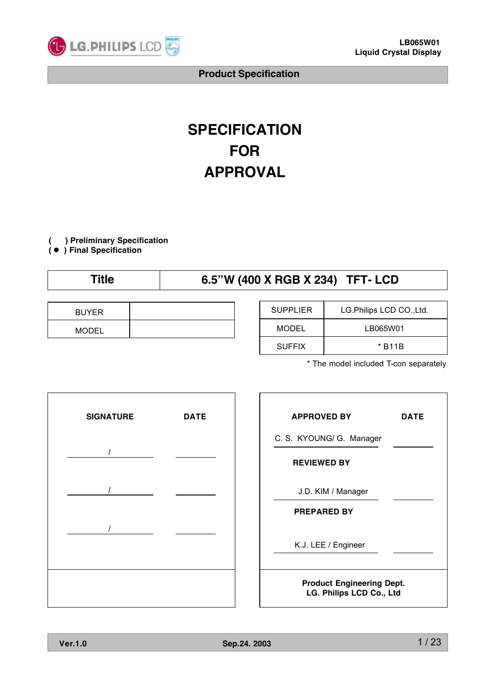

# **SPECIFICATION FOR APPROVAL**

**( ) Preliminary Specification**

**(** ● **) Final Specification**

# **Title 6.5"W (400 X RGB X 234) TFT- LCD**

| <b>BUYER</b> |  |
|--------------|--|
| <b>MODEL</b> |  |

| <b>SUPPLIER</b> | LG.Philips LCD CO., Ltd. |
|-----------------|--------------------------|
| MODEL           | LB065W01                 |
| <b>SUFFIX</b>   | * B11B                   |

\* The model included T-con separately



| <b>APPROVED BY</b>                                           | DATE |  |  |  |  |
|--------------------------------------------------------------|------|--|--|--|--|
| C. S. KYOUNG/ G. Manager                                     |      |  |  |  |  |
| <b>REVIEWED BY</b>                                           |      |  |  |  |  |
| J.D. KIM / Manager                                           |      |  |  |  |  |
| <b>PREPARED BY</b>                                           |      |  |  |  |  |
| K.J. LEE / Engineer                                          |      |  |  |  |  |
| <b>Product Engineering Dept.</b><br>LG. Philips LCD Co., Ltd |      |  |  |  |  |

٦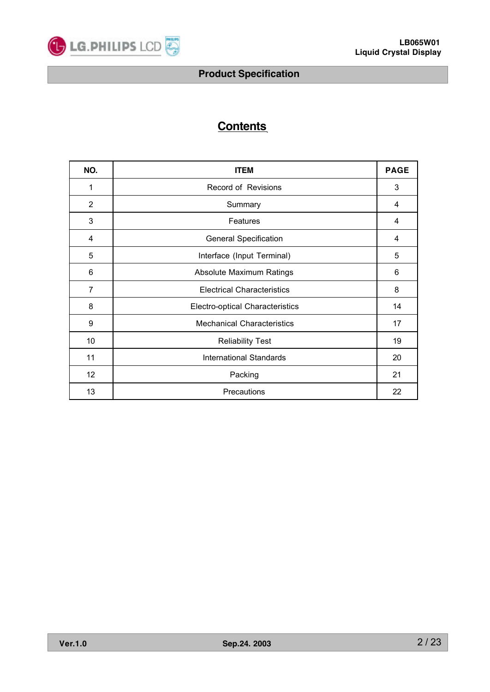

# **Contents**

| NO.             | <b>ITEM</b>                            |    |  |  |  |  |  |
|-----------------|----------------------------------------|----|--|--|--|--|--|
| 1               | Record of Revisions                    | 3  |  |  |  |  |  |
| 2               | Summary                                | 4  |  |  |  |  |  |
| 3               | Features                               | 4  |  |  |  |  |  |
| 4               | <b>General Specification</b>           | 4  |  |  |  |  |  |
| 5               | Interface (Input Terminal)             | 5  |  |  |  |  |  |
| 6               | Absolute Maximum Ratings               | 6  |  |  |  |  |  |
| $\overline{7}$  | <b>Electrical Characteristics</b>      | 8  |  |  |  |  |  |
| 8               | <b>Electro-optical Characteristics</b> | 14 |  |  |  |  |  |
| 9               | <b>Mechanical Characteristics</b>      | 17 |  |  |  |  |  |
| 10              | <b>Reliability Test</b>                | 19 |  |  |  |  |  |
| 11              | <b>International Standards</b>         | 20 |  |  |  |  |  |
| 12 <sub>2</sub> | Packing                                | 21 |  |  |  |  |  |
| 13              | <b>Precautions</b>                     | 22 |  |  |  |  |  |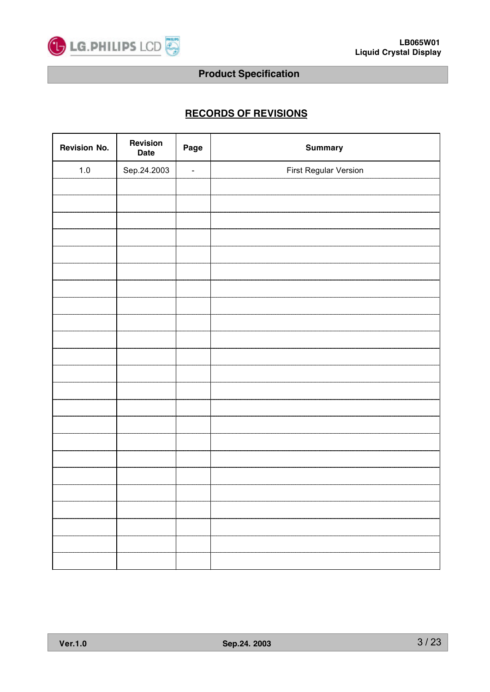

# **RECORDS OF REVISIONS**

| <b>Revision No.</b> | Revision<br><b>Date</b> | Page                     | <b>Summary</b>        |
|---------------------|-------------------------|--------------------------|-----------------------|
| $1.0\,$             | Sep.24.2003             | $\overline{\phantom{a}}$ | First Regular Version |
|                     |                         |                          |                       |
|                     |                         |                          |                       |
|                     |                         |                          |                       |
|                     |                         |                          |                       |
|                     |                         |                          |                       |
|                     |                         |                          |                       |
|                     |                         |                          |                       |
|                     |                         |                          |                       |
|                     |                         |                          |                       |
|                     |                         |                          |                       |
|                     |                         |                          |                       |
|                     |                         |                          |                       |
|                     |                         |                          |                       |
|                     |                         |                          |                       |
|                     |                         |                          |                       |
|                     |                         |                          |                       |
|                     |                         |                          |                       |
|                     |                         |                          |                       |
|                     |                         |                          |                       |
|                     |                         |                          |                       |
|                     |                         |                          |                       |
|                     |                         |                          |                       |
|                     |                         |                          |                       |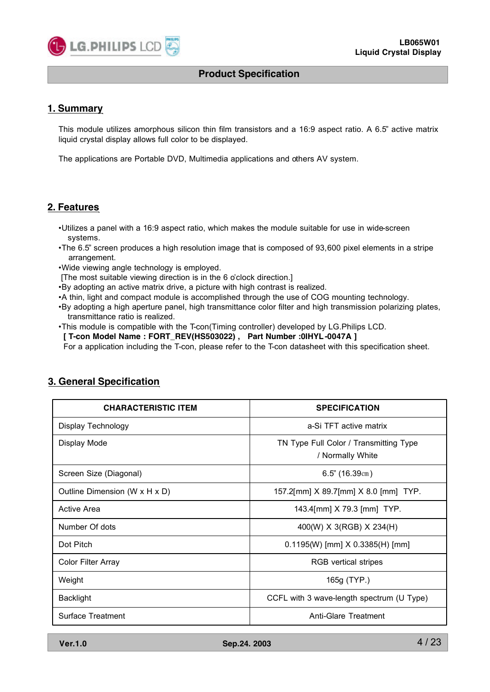

#### **1. Summary**

This module utilizes amorphous silicon thin film transistors and a 16:9 aspect ratio. A 6.5" active matrix liquid crystal display allows full color to be displayed.

The applications are Portable DVD, Multimedia applications and others AV system.

## **2. Features**

- •Utilizes a panel with a 16:9 aspect ratio, which makes the module suitable for use in wide-screen systems.
- •The 6.5" screen produces a high resolution image that is composed of 93,600 pixel elements in a stripe arrangement.
- •Wide viewing angle technology is employed.
- [The most suitable viewing direction is in the 6 o'clock direction.]
- •By adopting an active matrix drive, a picture with high contrast is realized.
- •A thin, light and compact module is accomplished through the use of COG mounting technology.
- •By adopting a high aperture panel, high transmittance color filter and high transmission polarizing plates, transmittance ratio is realized.
- •This module is compatible with the T-con(Timing controller) developed by LG.Philips LCD.
- **[ T-con Model Name : FORT\_REV(HS503022) , Part Number :0IHYL-0047A ]**

For a application including the T-con, please refer to the T-con datasheet with this specification sheet.

| <b>CHARACTERISTIC ITEM</b>    | <b>SPECIFICATION</b>                                       |
|-------------------------------|------------------------------------------------------------|
| Display Technology            | a-Si TFT active matrix                                     |
| Display Mode                  | TN Type Full Color / Transmitting Type<br>/ Normally White |
| Screen Size (Diagonal)        | $6.5$ " (16.39cm)                                          |
| Outline Dimension (W x H x D) | 157.2[mm] X 89.7[mm] X 8.0 [mm] TYP.                       |
| <b>Active Area</b>            | 143.4[mm] X 79.3 [mm] TYP.                                 |
| Number Of dots                | 400(W) X 3(RGB) X 234(H)                                   |
| Dot Pitch                     | $0.1195(W)$ [mm] $X$ 0.3385(H) [mm]                        |
| <b>Color Filter Array</b>     | RGB vertical stripes                                       |
| Weight                        | 165g (TYP.)                                                |
| <b>Backlight</b>              | CCFL with 3 wave-length spectrum (U Type)                  |
| <b>Surface Treatment</b>      | Anti-Glare Treatment                                       |

# **3. General Specification**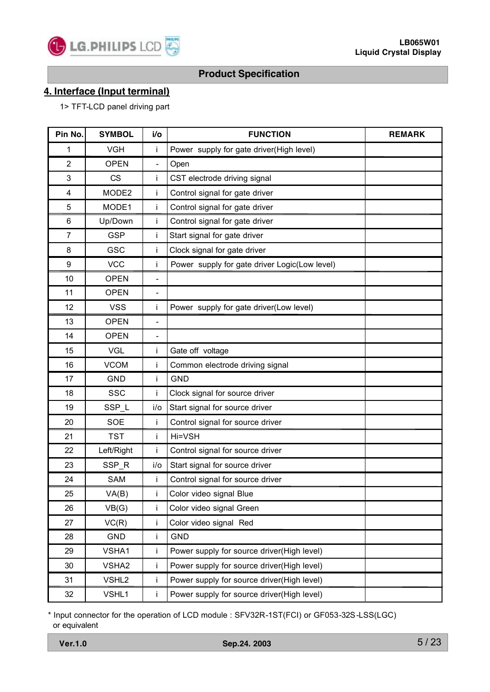

# **4. Interface (Input terminal)**

1> TFT-LCD panel driving part

| Pin No.                 | <b>SYMBOL</b>     | i/o                      | <b>FUNCTION</b>                               | <b>REMARK</b> |
|-------------------------|-------------------|--------------------------|-----------------------------------------------|---------------|
| 1                       | <b>VGH</b>        | Ť                        | Power supply for gate driver(High level)      |               |
| $\overline{2}$          | <b>OPEN</b>       | $\overline{\phantom{a}}$ | Open                                          |               |
| 3                       | <b>CS</b>         | Ť                        | CST electrode driving signal                  |               |
| $\overline{\mathbf{4}}$ | MODE2             | İ                        | Control signal for gate driver                |               |
| 5                       | MODE1             | İ                        | Control signal for gate driver                |               |
| 6                       | Up/Down           | $\mathbf{i}$             | Control signal for gate driver                |               |
| $\overline{7}$          | <b>GSP</b>        | İ                        | Start signal for gate driver                  |               |
| 8                       | <b>GSC</b>        | İ                        | Clock signal for gate driver                  |               |
| 9                       | <b>VCC</b>        | j.                       | Power supply for gate driver Logic(Low level) |               |
| 10                      | <b>OPEN</b>       | $\qquad \qquad -$        |                                               |               |
| 11                      | <b>OPEN</b>       | $\overline{\phantom{a}}$ |                                               |               |
| 12                      | <b>VSS</b>        | j.                       | Power supply for gate driver(Low level)       |               |
| 13                      | <b>OPEN</b>       | $\qquad \qquad -$        |                                               |               |
| 14                      | <b>OPEN</b>       | $\overline{\phantom{a}}$ |                                               |               |
| 15                      | <b>VGL</b>        | Ť                        | Gate off voltage                              |               |
| 16                      | <b>VCOM</b>       | İ                        | Common electrode driving signal               |               |
| 17                      | <b>GND</b>        | j.                       | <b>GND</b>                                    |               |
| 18                      | <b>SSC</b>        | i                        | Clock signal for source driver                |               |
| 19                      | SSP_L             | $i$ o                    | Start signal for source driver                |               |
| 20                      | <b>SOE</b>        | Ť                        | Control signal for source driver              |               |
| 21                      | <b>TST</b>        | Ť                        | Hi=VSH                                        |               |
| 22                      | Left/Right        | Ĺ                        | Control signal for source driver              |               |
| 23                      | SSP_R             | i/o                      | Start signal for source driver                |               |
| 24                      | SAM               | Ť                        | Control signal for source driver              |               |
| 25                      | VA(B)             |                          | Color video signal Blue                       |               |
| 26                      | VB(G)             | İ                        | Color video signal Green                      |               |
| 27                      | VC(R)             | İ                        | Color video signal Red                        |               |
| 28                      | GND               | İ                        | <b>GND</b>                                    |               |
| 29                      | VSHA1             | İ                        | Power supply for source driver(High level)    |               |
| 30                      | VSHA2             | İ.                       | Power supply for source driver(High level)    |               |
| 31                      | VSHL <sub>2</sub> | İ.                       | Power supply for source driver(High level)    |               |
| 32                      | VSHL1             | İ.                       | Power supply for source driver(High level)    |               |

\* Input connector for the operation of LCD module : SFV32R-1ST(FCI) or GF053-32S-LSS(LGC) or equivalent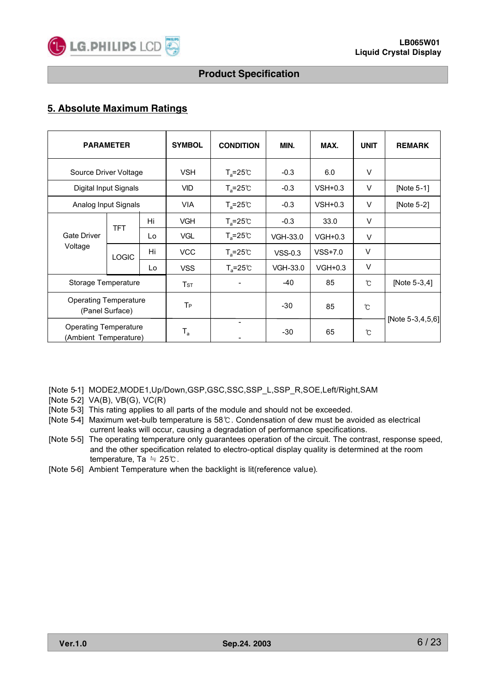

# **5. Absolute Maximum Ratings**

| <b>PARAMETER</b>                                      |                      |    | <b>SYMBOL</b>                       | <b>CONDITION</b>    | MIN.      | MAX.      | <b>UNIT</b>   | <b>REMARK</b>     |
|-------------------------------------------------------|----------------------|----|-------------------------------------|---------------------|-----------|-----------|---------------|-------------------|
| Source Driver Voltage                                 |                      |    | <b>VSH</b>                          | $T_a = 25^{\circ}C$ | $-0.3$    | 6.0       | $\vee$        |                   |
| Digital Input Signals                                 |                      |    | <b>VID</b>                          | $T_a = 25^{\circ}C$ | $-0.3$    | $VSH+0.3$ | V             | [Note 5-1]        |
|                                                       | Analog Input Signals |    |                                     | $T_a = 25^{\circ}C$ | $-0.3$    | $VSH+0.3$ | V             | [Note 5-2]        |
|                                                       | <b>TFT</b>           | Hi | <b>VGH</b>                          | $T_a = 25^{\circ}C$ | $-0.3$    | 33.0      | V             |                   |
| <b>Gate Driver</b>                                    |                      | Lo | <b>VGL</b>                          | $T_a = 25^{\circ}C$ | VGH-33.0  | $VGH+0.3$ | V             |                   |
| Voltage                                               | <b>LOGIC</b>         | Hi | <b>VCC</b>                          | $T_a = 25^{\circ}C$ | $VSS-0.3$ | $VSS+7.0$ | $\vee$        |                   |
|                                                       |                      | Lo | <b>VSS</b>                          | $T_a = 25^{\circ}C$ | VGH-33.0  | $VGH+0.3$ | $\vee$        |                   |
|                                                       | Storage Temperature  |    | $\mathsf{T}\mathsf{s}\mathsf{\tau}$ |                     | $-40$     | 85        | $\mathcal{C}$ | [Note 5-3,4]      |
| <b>Operating Temperature</b><br>(Panel Surface)       |                      |    | T <sub>P</sub>                      |                     | -30       | 85        | $\mathcal{C}$ |                   |
| <b>Operating Temperature</b><br>(Ambient Temperature) |                      |    | $T_{\rm a}$                         | $\blacksquare$      | $-30$     | 65        | $\mathcal{C}$ | [Note 5-3,4,5,6]] |

[Note 5-1] MODE2,MODE1,Up/Down,GSP,GSC,SSC,SSP\_L,SSP\_R,SOE,Left/Right,SAM

[Note 5-2] VA(B), VB(G), VC(R)

[Note 5-3] This rating applies to all parts of the module and should not be exceeded.

- [Note 5-4] Maximum wet-bulb temperature is 58℃. Condensation of dew must be avoided as electrical current leaks will occur, causing a degradation of performance specifications.
- [Note 5-5] The operating temperature only guarantees operation of the circuit. The contrast, response speed, and the other specification related to electro-optical display quality is determined at the room temperature, Ta ≒ 25℃.
- [Note 5-6] Ambient Temperature when the backlight is lit(reference value).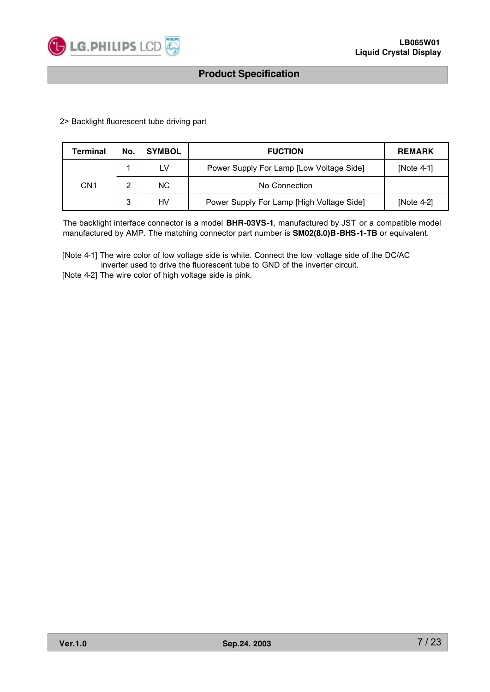

2> Backlight fluorescent tube driving part

| Terminal        | No. | <b>SYMBOL</b> | <b>FUCTION</b>                            | <b>REMARK</b> |
|-----------------|-----|---------------|-------------------------------------------|---------------|
|                 |     | LV            | Power Supply For Lamp [Low Voltage Side]  | [Note $4-1$ ] |
| CN <sub>1</sub> |     | NC.           | No Connection                             |               |
|                 | 3   | HV            | Power Supply For Lamp [High Voltage Side] | [Note 4-2]    |

The backlight interface connector is a model **BHR-03VS-1**, manufactured by JST or a compatible model manufactured by AMP. The matching connector part number is **SM02(8.0)B-BHS-1-TB** or equivalent.

[Note 4-1] The wire color of low voltage side is white. Connect the low voltage side of the DC/AC inverter used to drive the fluorescent tube to GND of the inverter circuit.

[Note 4-2] The wire color of high voltage side is pink.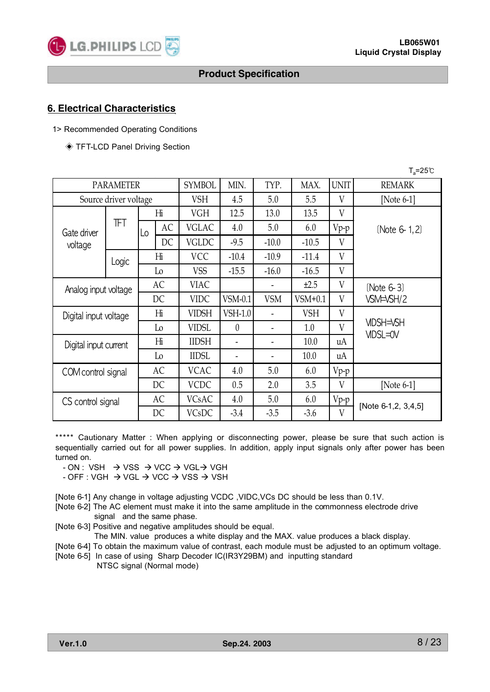

## **6. Electrical Characteristics**

- 1> Recommended Operating Conditions
	- ◈ TFT-LCD Panel Driving Section

| $T_a = 25^{\circ}C$   |                       |                |                |               |                          |            |            |             |                              |
|-----------------------|-----------------------|----------------|----------------|---------------|--------------------------|------------|------------|-------------|------------------------------|
|                       | <b>PARAMETER</b>      |                |                | <b>SYMBOL</b> | MIN.                     | TYP.       | MAX.       | <b>UNIT</b> | <b>REMARK</b>                |
|                       | Source driver voltage |                |                | <b>VSH</b>    | 4.5                      | 5.0        | 5.5        | V           | [Note $6-1$ ]                |
|                       |                       |                | Hi             | <b>VGH</b>    | 12.5                     | 13.0       | 13.5       | V           |                              |
| Gate driver           | ΤFΤ                   | Lo             | AC             | <b>VGLAC</b>  | 4.0                      | 5.0        | 6.0        | $Vp-p$      | (Note 6-1,2)                 |
| voltage               |                       |                | DC             | <b>VGLDC</b>  | $-9.5$                   | $-10.0$    | $-10.5$    | V           |                              |
|                       | Logic                 |                | Hi             | <b>VCC</b>    | $-10.4$                  | $-10.9$    | $-11.4$    | V           |                              |
|                       |                       |                | Lo             | <b>VSS</b>    | $-15.5$                  | $-16.0$    | $-16.5$    | V           |                              |
| Analog input voltage  |                       |                | AC             | <b>VIAC</b>   |                          |            | ±2.5       | V           | (Note 6-3)                   |
|                       |                       |                | DC             | <b>VIDC</b>   | $VSM-0.1$                | <b>VSM</b> | $VSM+0.1$  | V           | VSM=VSH/2                    |
| Digital input voltage |                       | H <sub>i</sub> |                | <b>VIDSH</b>  | VSH-1.0                  |            | <b>VSH</b> | V           |                              |
|                       |                       | Lo             |                | <b>VIDSL</b>  | $\theta$                 |            | 1.0        | V           | <b>VIDSH=VSH</b><br>VIDSL=0V |
| Digital input current |                       | H <sub>i</sub> |                | <b>IIDSH</b>  | $\overline{\phantom{0}}$ |            | 10.0       | uA          |                              |
|                       |                       |                | L <sub>0</sub> | <b>IIDSL</b>  | $\overline{\phantom{a}}$ |            | 10.0       | uA          |                              |
| COM control signal    |                       | AC             |                | <b>VCAC</b>   | 4.0                      | 5.0        | 6.0        | $V_{P^-P}$  |                              |
|                       |                       |                | DC             | <b>VCDC</b>   | 0.5                      | 2.0        | 3.5        | V           | [Note $6-1$ ]                |
| CS control signal     |                       |                | AC             | <b>VCsAC</b>  | 4.0                      | 5.0        | 6.0        | $Vp-p$      | [Note 6-1,2, 3,4,5]          |
|                       |                       |                | DC             | VCsDC         | $-3.4$                   | $-3.5$     | $-3.6$     | V           |                              |

\*\*\*\*\* Cautionary Matter : When applying or disconnecting power, please be sure that such action is sequentially carried out for all power supplies. In addition, apply input signals only after power has been turned on.

 $- ON : VSH \rightarrow VSS \rightarrow VCC \rightarrow VGL \rightarrow VGH$ 

 $-$  OFF : VGH  $\rightarrow$  VGL  $\rightarrow$  VCC  $\rightarrow$  VSS  $\rightarrow$  VSH

[Note 6-1] Any change in voltage adjusting VCDC ,VIDC,VCs DC should be less than 0.1V.

[Note 6-2] The AC element must make it into the same amplitude in the commonness electrode drive signal and the same phase.

[Note 6-3] Positive and negative amplitudes should be equal.

The MIN. value produces a white display and the MAX. value produces a black display.

- [Note 6-4] To obtain the maximum value of contrast, each module must be adjusted to an optimum voltage.
- [Note 6-5] In case of using Sharp Decoder IC(IR3Y29BM) and inputting standard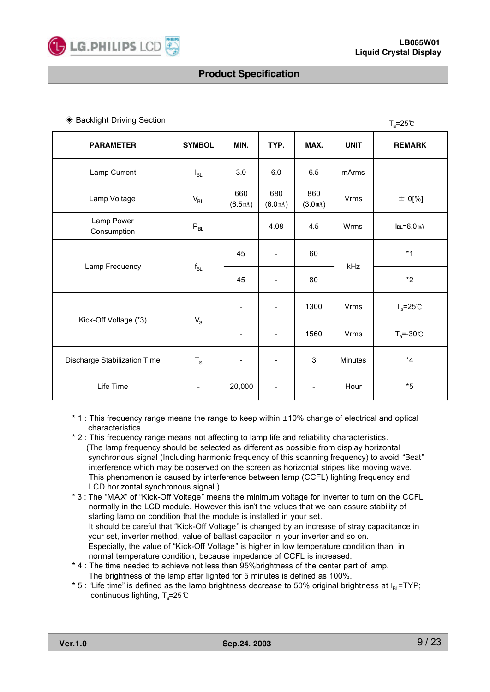#### ◆ Backlight Driving Section Table 1 and Table 1 and Table 1 and Table 1 and Table 1 and Table 1 and Table 1 and Table 1 and Table 1 and Table 1 and Table 1 and Table 1 and Table 1 and Table 1 and Table 1 and Table 1 and T

| <b>PARAMETER</b>             | <b>SYMBOL</b> | MIN.                     | TYP.                         | MAX.                        | <b>UNIT</b> | <b>REMARK</b>       |
|------------------------------|---------------|--------------------------|------------------------------|-----------------------------|-------------|---------------------|
| Lamp Current                 | $I_{BL}$      | 3.0                      | 6.0                          | 6.5                         | mArms       |                     |
| Lamp Voltage                 | $V_{BL}$      | 660<br>(6.5m)            | 680<br>(6.0 <sub>mA</sub> )  | 860<br>(3.0 <sup>mA</sup> ) | Vrms        | $±10$ [%]           |
| Lamp Power<br>Consumption    | $P_{BL}$      | $\overline{\phantom{a}}$ | 4.08                         | 4.5                         | Wrms        | $IBL = 6.0 mA$      |
|                              | $f_{BL}$      | 45                       | $\overline{\phantom{0}}$     | 60                          | kHz         | $*1$                |
| Lamp Frequency               |               | 45                       | $\overline{\phantom{a}}$     | 80                          |             | $*2$                |
|                              |               | $\overline{\phantom{a}}$ | $\overline{\phantom{a}}$     | 1300                        | Vrms        | $T_a = 25^{\circ}C$ |
| Kick-Off Voltage (*3)        | $V_{\rm S}$   | $\overline{\phantom{a}}$ | $\overline{\phantom{a}}$     | 1560                        | Vrms        | $T_a = -30$ °C      |
| Discharge Stabilization Time | $T_S$         | $\overline{\phantom{a}}$ | $\qquad \qquad \blacksquare$ | 3                           | Minutes     | $*_{4}$             |
| Life Time                    |               | 20,000                   |                              | $\overline{\phantom{a}}$    | Hour        | $*5$                |

- \* 1 : This frequency range means the range to keep within ±10% change of electrical and optical characteristics.
- \* 2 : This frequency range means not affecting to lamp life and reliability characteristics. (The lamp frequency should be selected as different as possible from display horizontal synchronous signal (Including harmonic frequency of this scanning frequency) to avoid "Beat" interference which may be observed on the screen as horizontal stripes like moving wave. This phenomenon is caused by interference between lamp (CCFL) lighting frequency and LCD horizontal synchronous signal.)
- \* 3 : The "MAX" of "Kick-Off Voltage" means the minimum voltage for inverter to turn on the CCFL normally in the LCD module. However this isn't the values that we can assure stability of starting lamp on condition that the module is installed in your set. It should be careful that "Kick-Off Voltage" is changed by an increase of stray capacitance in your set, inverter method, value of ballast capacitor in your inverter and so on. Especially, the value of "Kick-Off Voltage" is higher in low temperature condition than in normal temperature condition, because impedance of CCFL is increased.
- \* 4 : The time needed to achieve not less than 95%brightness of the center part of lamp. The brightness of the lamp after lighted for 5 minutes is defined as 100%.
- \* 5 : "Life time" is defined as the lamp brightness decrease to 50% original brightness at  $I_{\text{B}}$ =TYP; continuous lighting,  $T_a = 25 \degree$ C.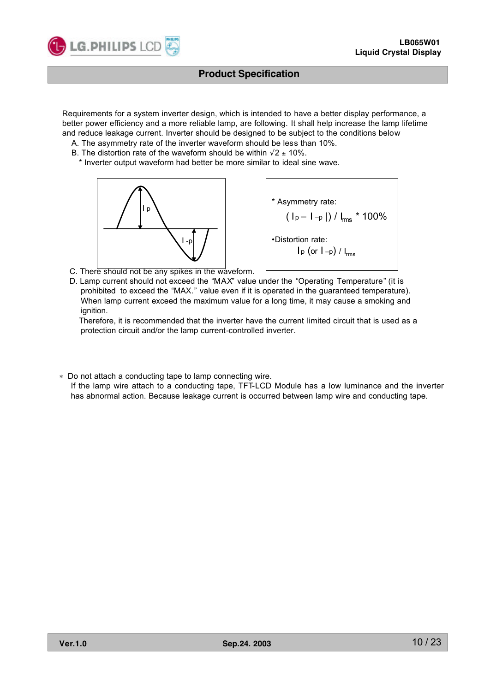

Requirements for a system inverter design, which is intended to have a better display performance, a better power efficiency and a more reliable lamp, are following. It shall help increase the lamp lifetime and reduce leakage current. Inverter should be designed to be subject to the conditions below

- A. The asymmetry rate of the inverter waveform should be less than 10%.
- B. The distortion rate of the waveform should be within  $\sqrt{2} \pm 10\%$ .
- \* Inverter output waveform had better be more similar to ideal sine wave.



\* Asymmetry rate:  $($  I p – I –p |) /  $_{\text{rms}}$  \* 100% •Distortion rate:  $I_{p}$  (or  $I_{-p}$ ) /  $I_{rms}$ 

C. There should not be any spikes in the waveform.

D. Lamp current should not exceed the "MAX" value under the "Operating Temperature" (it is prohibited to exceed the "MAX." value even if it is operated in the guaranteed temperature). When lamp current exceed the maximum value for a long time, it may cause a smoking and ignition.

Therefore, it is recommended that the inverter have the current limited circuit that is used as a protection circuit and/or the lamp current-controlled inverter.

∗ Do not attach a conducting tape to lamp connecting wire.

If the lamp wire attach to a conducting tape, TFT-LCD Module has a low luminance and the inverter has abnormal action. Because leakage current is occurred between lamp wire and conducting tape.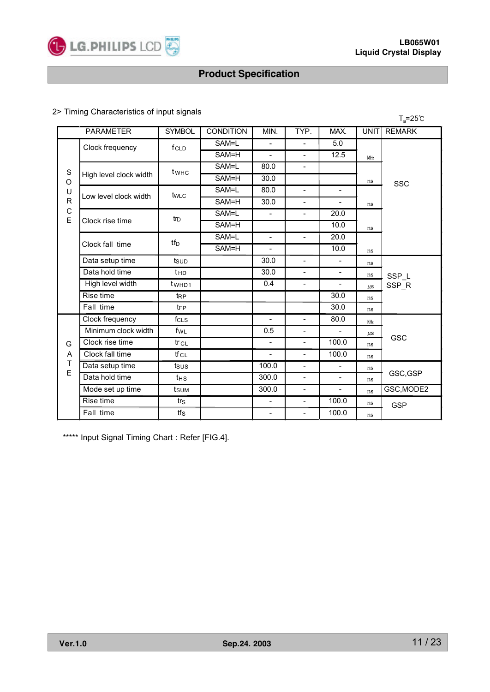

## 2> Timing Characteristics of input signals

|                                                                               | . Thinnig Undrautonomou or impatibighaio<br>$T_a = 25^{\circ}C$ |                                |       |                          |                          |                          |         |               |  |  |
|-------------------------------------------------------------------------------|-----------------------------------------------------------------|--------------------------------|-------|--------------------------|--------------------------|--------------------------|---------|---------------|--|--|
| <b>SYMBOL</b><br><b>PARAMETER</b><br><b>CONDITION</b><br>MIN.<br>TYP.<br>MAX. |                                                                 |                                |       |                          |                          |                          |         | <b>REMARK</b> |  |  |
|                                                                               | Clock frequency                                                 | f <sub>CLD</sub>               | SAM=L | $\overline{a}$           | $\overline{\phantom{0}}$ | 5.0                      |         |               |  |  |
|                                                                               |                                                                 |                                | SAM=H | $\blacksquare$           | $\overline{\phantom{0}}$ | 12.5                     | MHz     |               |  |  |
| $\mathbf S$                                                                   |                                                                 | twhc                           | SAM=L | 80.0                     | $\qquad \qquad -$        |                          |         |               |  |  |
| O                                                                             | High level clock width                                          |                                | SAM=H | 30.0                     |                          |                          | ns      | SSC           |  |  |
| U                                                                             | Low level clock width                                           | tw <sub>LC</sub>               | SAM=L | 80.0                     | $\overline{\phantom{0}}$ | $\overline{\phantom{0}}$ |         |               |  |  |
| $\mathsf{R}$                                                                  |                                                                 |                                | SAM=H | 30.0                     | $\overline{\phantom{0}}$ |                          | ns      |               |  |  |
| $\mathsf C$<br>E                                                              |                                                                 | $\text{tr}_{\text{D}}$         | SAM=L | $\blacksquare$           | $\overline{\phantom{0}}$ | 20.0                     |         |               |  |  |
|                                                                               | Clock rise time                                                 |                                | SAM=H |                          |                          | 10.0                     | ns      |               |  |  |
|                                                                               | Clock fall time                                                 | $tf_D$                         | SAM=L | $\overline{\phantom{a}}$ | $\overline{\phantom{a}}$ | 20.0                     |         |               |  |  |
|                                                                               |                                                                 |                                | SAM=H | $\overline{\phantom{a}}$ |                          | 10.0                     | ns      |               |  |  |
|                                                                               | Data setup time                                                 | tsup                           |       | $\overline{30.0}$        | $\overline{\phantom{0}}$ |                          | ns      |               |  |  |
|                                                                               | Data hold time                                                  | t <sub>HD</sub>                |       | 30.0                     | $\overline{\phantom{0}}$ | $\overline{\phantom{0}}$ | ns      | SSP_L         |  |  |
|                                                                               | High level width                                                | t <sub>w</sub> H <sub>D1</sub> |       | 0.4                      | $\overline{\phantom{a}}$ | $\overline{a}$           | $\mu$ s | SSP_R         |  |  |
|                                                                               | Rise time                                                       | $t_{RP}$                       |       |                          |                          | 30.0                     | ns      |               |  |  |
|                                                                               | Fall time                                                       | $t_{FP}$                       |       |                          |                          | 30.0                     | ns      |               |  |  |
|                                                                               | Clock frequency                                                 | fc <sub>LS</sub>               |       |                          | $\overline{\phantom{a}}$ | 80.0                     | KHz     |               |  |  |
|                                                                               | Minimum clock width                                             | fwL                            |       | 0.5                      | $\overline{\phantom{0}}$ |                          | $\mu$ s |               |  |  |
| G                                                                             | Clock rise time                                                 | $tr_{CL}$                      |       |                          | $\overline{\phantom{0}}$ | 100.0                    | ns      | GSC           |  |  |
| A                                                                             | Clock fall time                                                 | tfcL                           |       |                          | $\overline{\phantom{0}}$ | 100.0                    | ns      |               |  |  |
| Τ                                                                             | Data setup time                                                 | tsus                           |       | 100.0                    | $\overline{\phantom{0}}$ | $\blacksquare$           | ns      |               |  |  |
| E                                                                             | Data hold time                                                  | $t$ HS                         |       | 300.0                    | $\overline{\phantom{0}}$ | $\blacksquare$           | ns      | GSC, GSP      |  |  |
|                                                                               | Mode set up time                                                | tsum                           |       | 300.0                    | $\overline{\phantom{0}}$ | $\blacksquare$           | ns      | GSC, MODE2    |  |  |
|                                                                               | Rise time                                                       | trs                            |       | $\overline{\phantom{a}}$ | $\qquad \qquad -$        | 100.0                    | ns      | <b>GSP</b>    |  |  |
|                                                                               | Fall time                                                       | $tf_s$                         |       | $\overline{\phantom{a}}$ | $\overline{\phantom{a}}$ | 100.0                    | ns      |               |  |  |

\*\*\*\*\* Input Signal Timing Chart : Refer [FIG.4].

|  |  | Ver.1.0 |  |
|--|--|---------|--|
|  |  |         |  |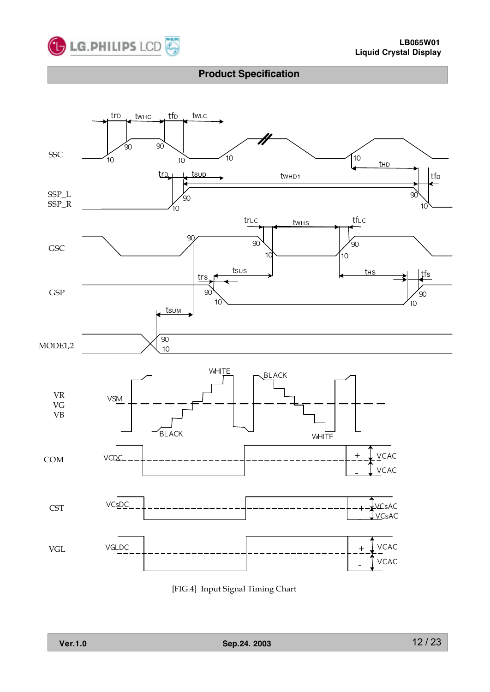



[FIG.4] Input Signal Timing Chart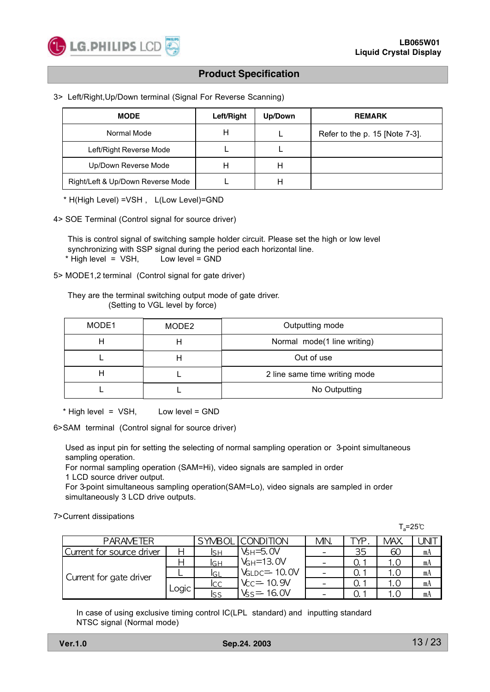

#### 3> Left/Right,Up/Down terminal (Signal For Reverse Scanning)

| <b>MODE</b>                       | Left/Right | Up/Down | <b>REMARK</b>                  |
|-----------------------------------|------------|---------|--------------------------------|
| Normal Mode                       | H          |         | Refer to the p. 15 [Note 7-3]. |
| Left/Right Reverse Mode           |            |         |                                |
| Up/Down Reverse Mode              | н          |         |                                |
| Right/Left & Up/Down Reverse Mode |            | Н       |                                |

\* H(High Level) =VSH , L(Low Level)=GND

4> SOE Terminal (Control signal for source driver)

This is control signal of switching sample holder circuit. Please set the high or low level synchronizing with SSP signal during the period each horizontal line. \* High level = VSH, Low level = GND

5> MODE1,2 terminal (Control signal for gate driver)

They are the terminal switching output mode of gate driver. (Setting to VGL level by force)

| MODE1 | MODE2 | Outputting mode               |
|-------|-------|-------------------------------|
|       |       | Normal mode(1 line writing)   |
|       |       | Out of use                    |
|       |       | 2 line same time writing mode |
|       |       | No Outputting                 |

\* High level = VSH, Low level = GND

6>SAM terminal (Control signal for source driver)

Used as input pin for setting the selecting of normal sampling operation or 3-point simultaneous sampling operation.

For normal sampling operation (SAM=Hi), video signals are sampled in order

1 LCD source driver output.

For 3-point simultaneous sampling operation(SAM=Lo), video signals are sampled in order simultaneously 3 LCD drive outputs.

7>Current dissipations

|                           |       |     |                     |     |     | $T_a = 25^\circ \text{C}$ |    |
|---------------------------|-------|-----|---------------------|-----|-----|---------------------------|----|
| <b>PARAMETER</b>          |       |     | SYMBOL ICONDITION   | MN. | EVE | <b>MAX</b>                |    |
| Current for source driver |       | lsн | $V_{\rm H} = 5.0 V$ |     | 35  | 60                        | mA |
|                           |       | lgн | $V_{GH} = 13.0V$    |     |     |                           | mA |
| Current for gate driver   |       | lGL | VGLDC= 10.0V        |     |     |                           | mA |
|                           |       | lcc | $V_{C} = 10.9V$     |     |     |                           | mA |
|                           | Logic | lss | $Vs = 16.0V$        |     |     |                           | mA |

In case of using exclusive timing control IC(LPL standard) and inputting standard NTSC signal (Normal mode)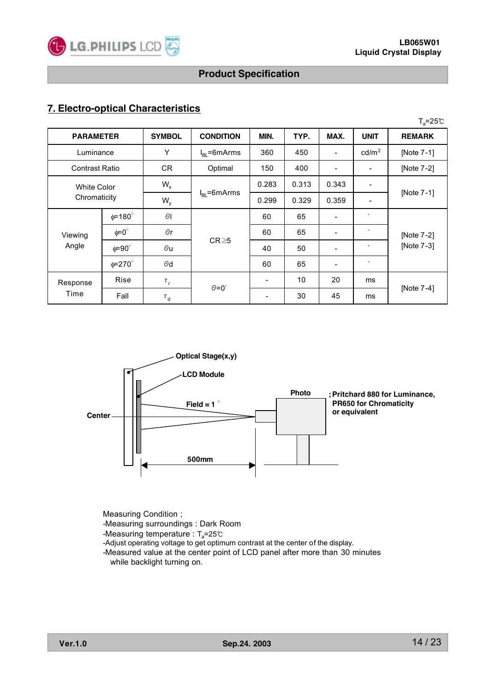

## **7. Electro-optical Characteristics**

|                       |                    |                     |                  |                          |       |                          |                          | $T_a = 25^{\circ}C$ |
|-----------------------|--------------------|---------------------|------------------|--------------------------|-------|--------------------------|--------------------------|---------------------|
| <b>PARAMETER</b>      |                    | <b>SYMBOL</b>       | <b>CONDITION</b> | MIN.                     | TYP.  | MAX.                     | <b>UNIT</b>              | <b>REMARK</b>       |
| Luminance             |                    | Y                   | $IRI = 6 mArms$  | 360                      | 450   | $\overline{\phantom{0}}$ | cd/m <sup>2</sup>        | [Note 7-1]          |
| <b>Contrast Ratio</b> |                    | <b>CR</b>           | Optimal          | 150                      | 400   |                          | $\overline{\phantom{a}}$ | [Note 7-2]          |
| <b>White Color</b>    |                    | $W_{x}$             |                  | 0.283                    | 0.313 | 0.343                    | $\overline{\phantom{a}}$ |                     |
| Chromaticity          |                    | $W_{y}$             | $IRI$ =6mArms    | 0.299                    | 0.329 | 0.359                    | $\overline{\phantom{a}}$ | [Note 7-1]          |
|                       | $\phi = 180^\circ$ | $\Theta$ l          |                  | 60                       | 65    |                          | $^\circ$                 |                     |
| Viewing               | $\phi = 0^{\circ}$ | $\Theta$ r          |                  | 60                       | 65    | $\overline{\phantom{a}}$ | $\circ$                  | [Note 7-2]          |
| Angle                 | $\phi = 90^\circ$  | $\Theta$ u          | $CR \ge 5$       | 40                       | 50    | -                        | $^{\circ}$               | [Note 7-3]          |
|                       | $\phi = 270^\circ$ | $\Theta$ d          |                  | 60                       | 65    |                          | $^\circ$                 |                     |
| Response              | Rise               | $\tau_{\rm r}$      |                  | $\overline{\phantom{0}}$ | 10    | 20                       | ms                       |                     |
| Time                  | Fall               | $\tau$ <sub>d</sub> | $\theta = 0$ °   |                          | 30    | 45                       | ms                       | [Note 7-4]          |



Measuring Condition ;

-Measuring surroundings : Dark Room

-Measuring temperature : T<sub>a</sub>=25℃

-Adjust operating voltage to get optimum contrast at the center of the display.

-Measured value at the center point of LCD panel after more than 30 minutes while backlight turning on.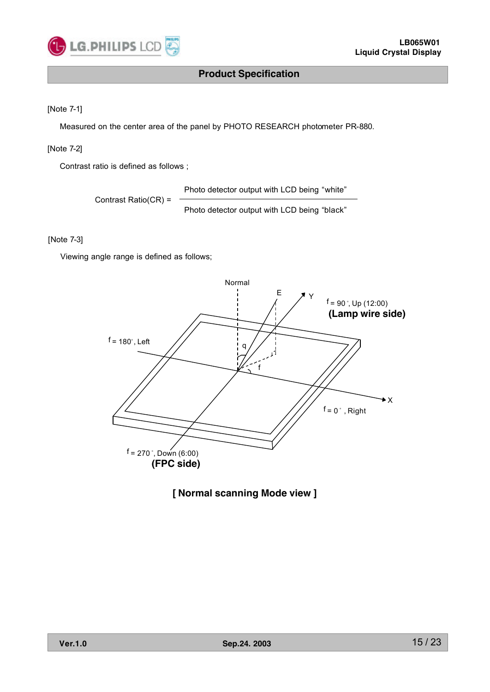

#### [Note 7-1]

Measured on the center area of the panel by PHOTO RESEARCH photometer PR-880.

#### [Note 7-2]

Contrast ratio is defined as follows ;

Photo detector output with LCD being "white"

Contrast Ratio(CR) =

Photo detector output with LCD being "black"

#### [Note 7-3]

Viewing angle range is defined as follows;



# **[ Normal scanning Mode view ]**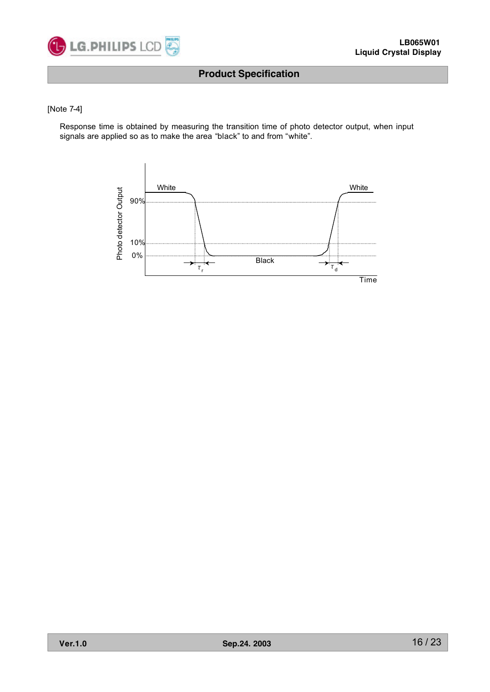

#### [Note 7-4]

Response time is obtained by measuring the transition time of photo detector output, when input signals are applied so as to make the area "black" to and from "white".

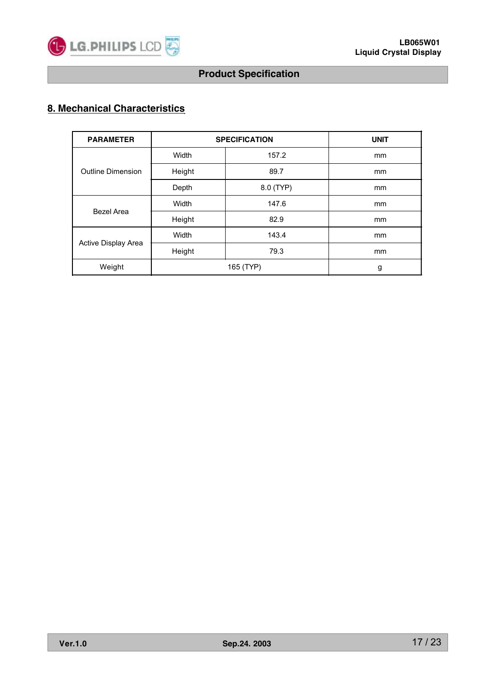

# **8. Mechanical Characteristics**

| <b>PARAMETER</b>         | <b>SPECIFICATION</b> | <b>UNIT</b> |               |
|--------------------------|----------------------|-------------|---------------|
|                          | Width                | 157.2       | <sub>mm</sub> |
| <b>Outline Dimension</b> | Height               | 89.7        | mm            |
|                          | Depth                | 8.0 (TYP)   | mm            |
|                          | Width                | 147.6       | mm            |
| Bezel Area               | Height               | 82.9        | mm            |
|                          | Width                | 143.4       | <sub>mm</sub> |
| Active Display Area      | Height               | 79.3        | <sub>mm</sub> |
| Weight                   |                      | g           |               |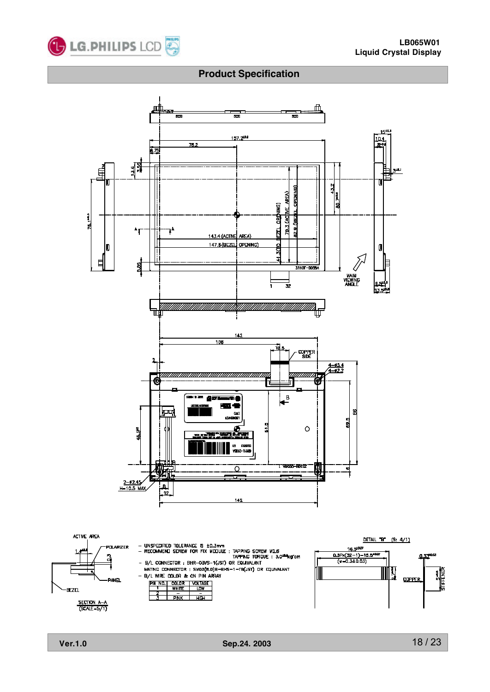

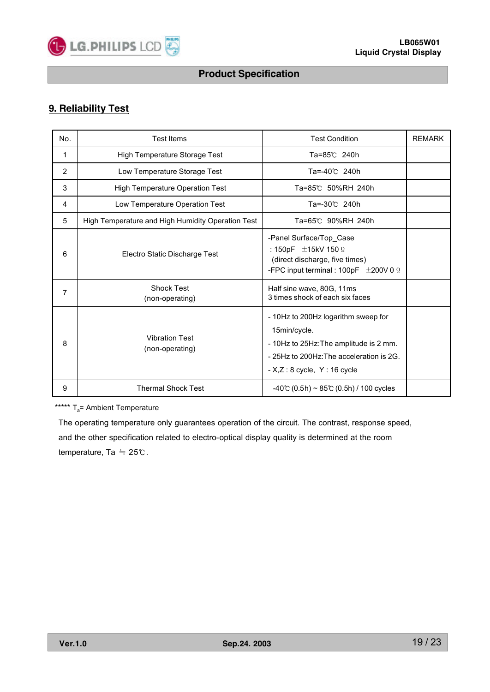

# **9. Reliability Test**

| No.            | <b>Test Items</b>                                 | <b>Test Condition</b>                                                                                                                                                     | <b>REMARK</b> |
|----------------|---------------------------------------------------|---------------------------------------------------------------------------------------------------------------------------------------------------------------------------|---------------|
| 1              | High Temperature Storage Test                     | Ta=85℃ 240h                                                                                                                                                               |               |
| $\overline{2}$ | Low Temperature Storage Test                      | Ta=-40℃ 240h                                                                                                                                                              |               |
| 3              | <b>High Temperature Operation Test</b>            | Ta=85℃ 50%RH 240h                                                                                                                                                         |               |
| 4              | Low Temperature Operation Test                    | Ta=-30℃ 240h                                                                                                                                                              |               |
| 5              | High Temperature and High Humidity Operation Test | Ta=65℃ 90%RH 240h                                                                                                                                                         |               |
| 6              | Electro Static Discharge Test                     | -Panel Surface/Top_Case<br>: 150pF $\pm$ 15kV 150 $\Omega$<br>(direct discharge, five times)<br>-FPC input terminal : 100pF $\pm$ 200V 0 $\Omega$                         |               |
| 7              | <b>Shock Test</b><br>(non-operating)              | Half sine wave, 80G, 11ms<br>3 times shock of each six faces                                                                                                              |               |
| 8              | <b>Vibration Test</b><br>(non-operating)          | - 10Hz to 200Hz logarithm sweep for<br>15min/cycle.<br>- 10Hz to 25Hz: The amplitude is 2 mm.<br>-25Hz to 200Hz: The acceleration is 2G.<br>$- X,Z:8$ cycle, $Y:16$ cycle |               |
| 9              | <b>Thermal Shock Test</b>                         | $-40^{\circ}$ (0.5h) ~ 85°C (0.5h) / 100 cycles                                                                                                                           |               |

\*\*\*\*\*  $T_a$ = Ambient Temperature

The operating temperature only guarantees operation of the circuit. The contrast, response speed, and the other specification related to electro-optical display quality is determined at the room temperature, Ta ≒ 25℃.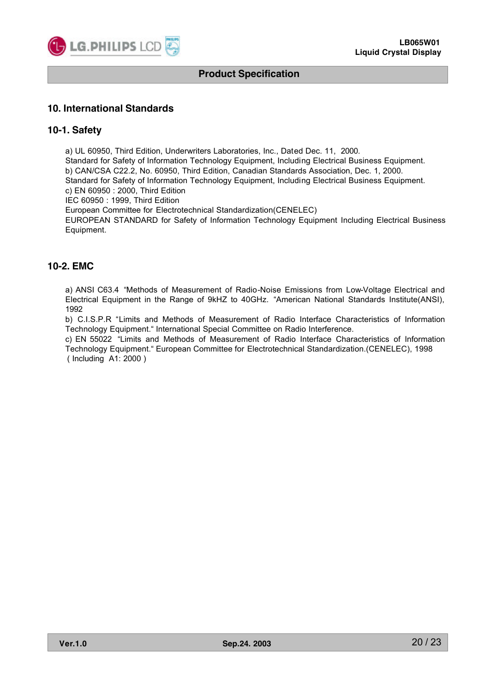

#### **10. International Standards**

#### **10-1. Safety**

a) UL 60950, Third Edition, Underwriters Laboratories, Inc., Dated Dec. 11, 2000. Standard for Safety of Information Technology Equipment, Including Electrical Business Equipment. b) CAN/CSA C22.2, No. 60950, Third Edition, Canadian Standards Association, Dec. 1, 2000. Standard for Safety of Information Technology Equipment, Including Electrical Business Equipment. c) EN 60950 : 2000, Third Edition IEC 60950 : 1999, Third Edition European Committee for Electrotechnical Standardization(CENELEC) EUROPEAN STANDARD for Safety of Information Technology Equipment Including Electrical Business Equipment.

## **10-2. EMC**

a) ANSI C63.4 "Methods of Measurement of Radio-Noise Emissions from Low-Voltage Electrical and Electrical Equipment in the Range of 9kHZ to 40GHz. "American National Standards Institute(ANSI), 1992

b) C.I.S.P.R "Limits and Methods of Measurement of Radio Interface Characteristics of Information Technology Equipment." International Special Committee on Radio Interference.

c) EN 55022 "Limits and Methods of Measurement of Radio Interface Characteristics of Information Technology Equipment." European Committee for Electrotechnical Standardization.(CENELEC), 1998 ( Including A1: 2000 )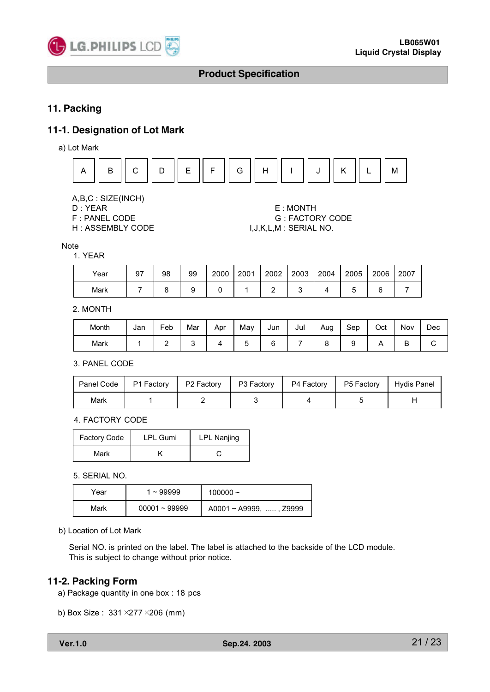

## **11. Packing**

### **11-1. Designation of Lot Mark**

a) Lot Mark



A,B,C : SIZE(INCH)

- 
- H : ASSEMBLY CODE  $I, J, K, L, M$  : SERIAL NO.

# D : YEAR E : MONTH F : PANEL CODE G : FACTORY CODE

Note

#### 1. YEAR

| Year | 97 | 98 | 99 | 2000 | 2001 | 2002 | 2003 | 2004 | 2005 | 2006 | 2007 |
|------|----|----|----|------|------|------|------|------|------|------|------|
| Mark |    |    |    |      |      |      |      |      |      | ⌒    |      |

#### 2. MONTH

| Month | Jan | Feb | Mar | Apr | Mav | Jun | Jul | Aug | Sep | Oct | Nov    | Dec |
|-------|-----|-----|-----|-----|-----|-----|-----|-----|-----|-----|--------|-----|
| Mark  |     | -   |     |     |     |     |     |     |     |     | ∍<br>D |     |

3. PANEL CODE

| Panel Code | P1 Factory   P2 Factory   P3 Factory |  | P4 Factory   P5 Factory | Hydis Panel |
|------------|--------------------------------------|--|-------------------------|-------------|
| Mark       |                                      |  |                         |             |

4. FACTORY CODE

| <b>Factory Code</b> | <b>LPL Gumi</b> | <b>LPL Nanjing</b> |
|---------------------|-----------------|--------------------|
| Mark                |                 |                    |

5. SERIAL NO.

| Year | $1 - 99999$     | 100000 $\sim$                |
|------|-----------------|------------------------------|
| Mark | $00001 - 99999$ | $A0001 \sim A9999$ , , Z9999 |

b) Location of Lot Mark

Serial NO. is printed on the label. The label is attached to the backside of the LCD module. This is subject to change without prior notice.

#### **11-2. Packing Form**

- a) Package quantity in one box : 18 pcs
- b) Box Size : 331×277×206 (mm)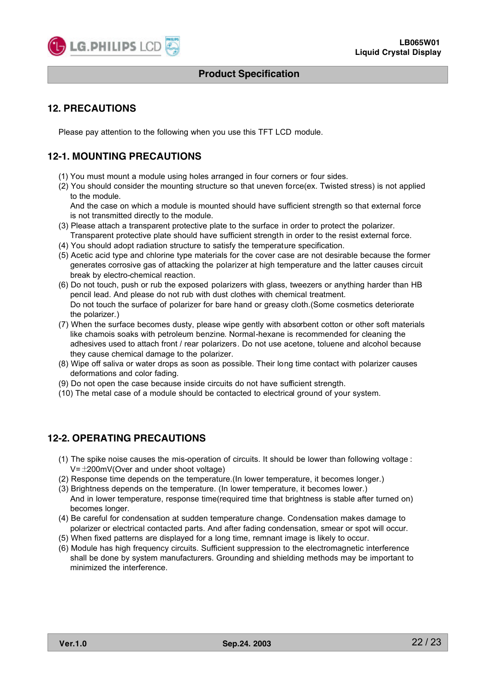

## **12. PRECAUTIONS**

Please pay attention to the following when you use this TFT LCD module.

# **12-1. MOUNTING PRECAUTIONS**

- (1) You must mount a module using holes arranged in four corners or four sides.
- (2) You should consider the mounting structure so that uneven force(ex. Twisted stress) is not applied to the module.

And the case on which a module is mounted should have sufficient strength so that external force is not transmitted directly to the module.

- (3) Please attach a transparent protective plate to the surface in order to protect the polarizer. Transparent protective plate should have sufficient strength in order to the resist external force.
- (4) You should adopt radiation structure to satisfy the temperature specification.
- (5) Acetic acid type and chlorine type materials for the cover case are not desirable because the former generates corrosive gas of attacking the polarizer at high temperature and the latter causes circuit break by electro-chemical reaction.
- (6) Do not touch, push or rub the exposed polarizers with glass, tweezers or anything harder than HB pencil lead. And please do not rub with dust clothes with chemical treatment. Do not touch the surface of polarizer for bare hand or greasy cloth.(Some cosmetics deteriorate the polarizer.)
- (7) When the surface becomes dusty, please wipe gently with absorbent cotton or other soft materials like chamois soaks with petroleum benzine. Normal-hexane is recommended for cleaning the adhesives used to attach front / rear polarizers. Do not use acetone, toluene and alcohol because they cause chemical damage to the polarizer.
- (8) Wipe off saliva or water drops as soon as possible. Their long time contact with polarizer causes deformations and color fading.
- (9) Do not open the case because inside circuits do not have sufficient strength.
- (10) The metal case of a module should be contacted to electrical ground of your system.

# **12-2. OPERATING PRECAUTIONS**

- (1) The spike noise causes the mis-operation of circuits. It should be lower than following voltage : V=±200mV(Over and under shoot voltage)
- (2) Response time depends on the temperature.(In lower temperature, it becomes longer.)
- (3) Brightness depends on the temperature. (In lower temperature, it becomes lower.) And in lower temperature, response time(required time that brightness is stable after turned on) becomes longer.
- (4) Be careful for condensation at sudden temperature change. Condensation makes damage to polarizer or electrical contacted parts. And after fading condensation, smear or spot will occur.
- (5) When fixed patterns are displayed for a long time, remnant image is likely to occur.
- (6) Module has high frequency circuits. Sufficient suppression to the electromagnetic interference shall be done by system manufacturers. Grounding and shielding methods may be important to minimized the interference.